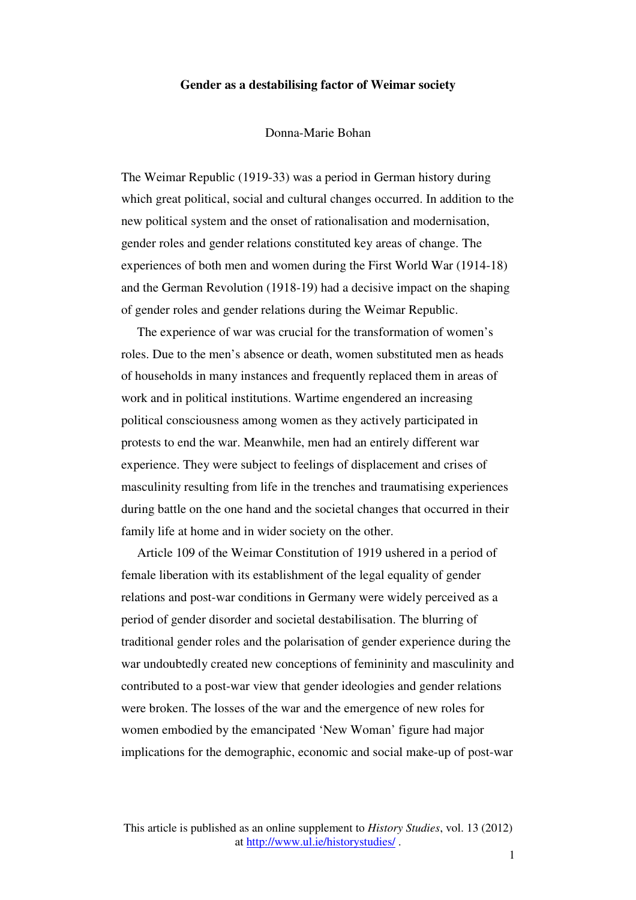## **Gender as a destabilising factor of Weimar society**

Donna-Marie Bohan

The Weimar Republic (1919-33) was a period in German history during which great political, social and cultural changes occurred. In addition to the new political system and the onset of rationalisation and modernisation, gender roles and gender relations constituted key areas of change. The experiences of both men and women during the First World War (1914-18) and the German Revolution (1918-19) had a decisive impact on the shaping of gender roles and gender relations during the Weimar Republic.

 The experience of war was crucial for the transformation of women's roles. Due to the men's absence or death, women substituted men as heads of households in many instances and frequently replaced them in areas of work and in political institutions. Wartime engendered an increasing political consciousness among women as they actively participated in protests to end the war. Meanwhile, men had an entirely different war experience. They were subject to feelings of displacement and crises of masculinity resulting from life in the trenches and traumatising experiences during battle on the one hand and the societal changes that occurred in their family life at home and in wider society on the other.

 Article 109 of the Weimar Constitution of 1919 ushered in a period of female liberation with its establishment of the legal equality of gender relations and post-war conditions in Germany were widely perceived as a period of gender disorder and societal destabilisation. The blurring of traditional gender roles and the polarisation of gender experience during the war undoubtedly created new conceptions of femininity and masculinity and contributed to a post-war view that gender ideologies and gender relations were broken. The losses of the war and the emergence of new roles for women embodied by the emancipated 'New Woman' figure had major implications for the demographic, economic and social make-up of post-war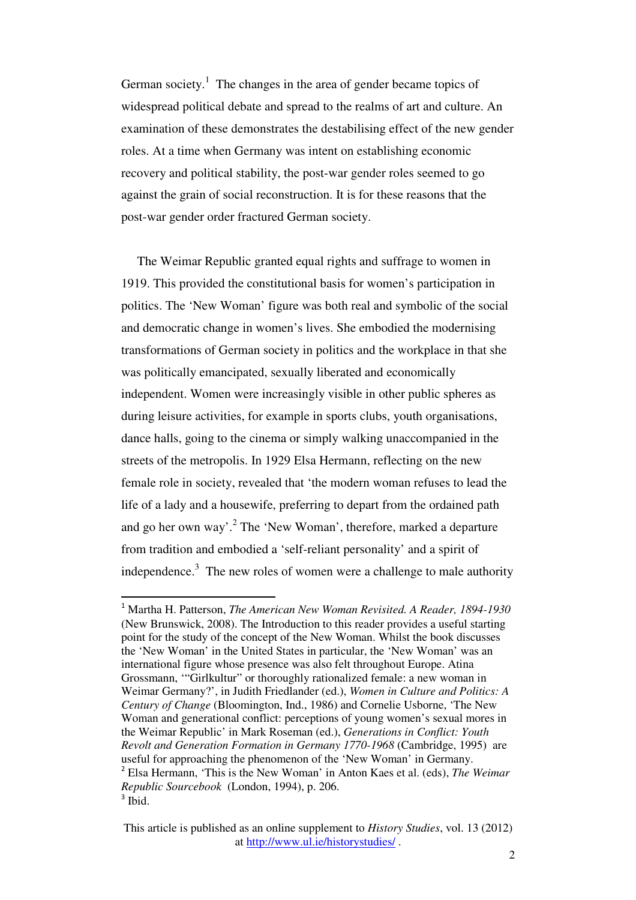German society.<sup>1</sup> The changes in the area of gender became topics of widespread political debate and spread to the realms of art and culture. An examination of these demonstrates the destabilising effect of the new gender roles. At a time when Germany was intent on establishing economic recovery and political stability, the post-war gender roles seemed to go against the grain of social reconstruction. It is for these reasons that the post-war gender order fractured German society.

 The Weimar Republic granted equal rights and suffrage to women in 1919. This provided the constitutional basis for women's participation in politics. The 'New Woman' figure was both real and symbolic of the social and democratic change in women's lives. She embodied the modernising transformations of German society in politics and the workplace in that she was politically emancipated, sexually liberated and economically independent. Women were increasingly visible in other public spheres as during leisure activities, for example in sports clubs, youth organisations, dance halls, going to the cinema or simply walking unaccompanied in the streets of the metropolis. In 1929 Elsa Hermann, reflecting on the new female role in society, revealed that 'the modern woman refuses to lead the life of a lady and a housewife, preferring to depart from the ordained path and go her own way'.<sup>2</sup> The 'New Woman', therefore, marked a departure from tradition and embodied a 'self-reliant personality' and a spirit of independence.<sup>3</sup> The new roles of women were a challenge to male authority

<sup>&</sup>lt;sup>1</sup> Martha H. Patterson, *The American New Woman Revisited. A Reader, 1894-1930* (New Brunswick, 2008). The Introduction to this reader provides a useful starting point for the study of the concept of the New Woman. Whilst the book discusses the 'New Woman' in the United States in particular, the 'New Woman' was an international figure whose presence was also felt throughout Europe. Atina Grossmann, '"Girlkultur" or thoroughly rationalized female: a new woman in Weimar Germany?', in Judith Friedlander (ed.), *Women in Culture and Politics: A Century of Change* (Bloomington, Ind., 1986) and Cornelie Usborne, 'The New Woman and generational conflict: perceptions of young women's sexual mores in the Weimar Republic' in Mark Roseman (ed.), *Generations in Conflict: Youth Revolt and Generation Formation in Germany 1770-1968* (Cambridge, 1995) are useful for approaching the phenomenon of the 'New Woman' in Germany. 2 Elsa Hermann, 'This is the New Woman' in Anton Kaes et al. (eds), *The Weimar Republic Sourcebook* (London, 1994), p. 206.  $3$  Ibid.

This article is published as an online supplement to *History Studies*, vol. 13 (2012) at http://www.ul.ie/historystudies/ .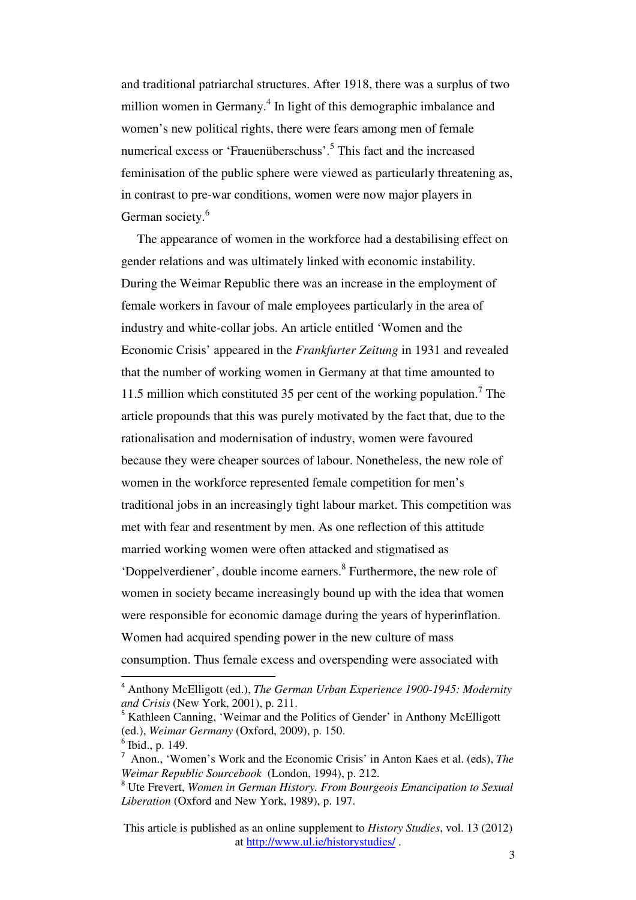and traditional patriarchal structures. After 1918, there was a surplus of two million women in Germany.<sup>4</sup> In light of this demographic imbalance and women's new political rights, there were fears among men of female numerical excess or 'Frauenüberschuss'.<sup>5</sup> This fact and the increased feminisation of the public sphere were viewed as particularly threatening as, in contrast to pre-war conditions, women were now major players in German society.<sup>6</sup>

 The appearance of women in the workforce had a destabilising effect on gender relations and was ultimately linked with economic instability. During the Weimar Republic there was an increase in the employment of female workers in favour of male employees particularly in the area of industry and white-collar jobs. An article entitled 'Women and the Economic Crisis' appeared in the *Frankfurter Zeitung* in 1931 and revealed that the number of working women in Germany at that time amounted to 11.5 million which constituted 35 per cent of the working population.<sup>7</sup> The article propounds that this was purely motivated by the fact that, due to the rationalisation and modernisation of industry, women were favoured because they were cheaper sources of labour. Nonetheless, the new role of women in the workforce represented female competition for men's traditional jobs in an increasingly tight labour market. This competition was met with fear and resentment by men. As one reflection of this attitude married working women were often attacked and stigmatised as 'Doppelverdiener', double income earners.<sup>8</sup> Furthermore, the new role of women in society became increasingly bound up with the idea that women were responsible for economic damage during the years of hyperinflation. Women had acquired spending power in the new culture of mass consumption. Thus female excess and overspending were associated with

<sup>4</sup> Anthony McElligott (ed.), *The German Urban Experience 1900-1945: Modernity and Crisis* (New York, 2001), p. 211.

<sup>&</sup>lt;sup>5</sup> Kathleen Canning, 'Weimar and the Politics of Gender' in Anthony McElligott (ed.), *Weimar Germany* (Oxford, 2009), p. 150.

 $6$  Ibid., p. 149.

<sup>7</sup> Anon., 'Women's Work and the Economic Crisis' in Anton Kaes et al. (eds), *The Weimar Republic Sourcebook* (London, 1994), p. 212.

<sup>8</sup> Ute Frevert, *Women in German History. From Bourgeois Emancipation to Sexual Liberation* (Oxford and New York, 1989), p. 197.

This article is published as an online supplement to *History Studies*, vol. 13 (2012) at http://www.ul.ie/historystudies/ .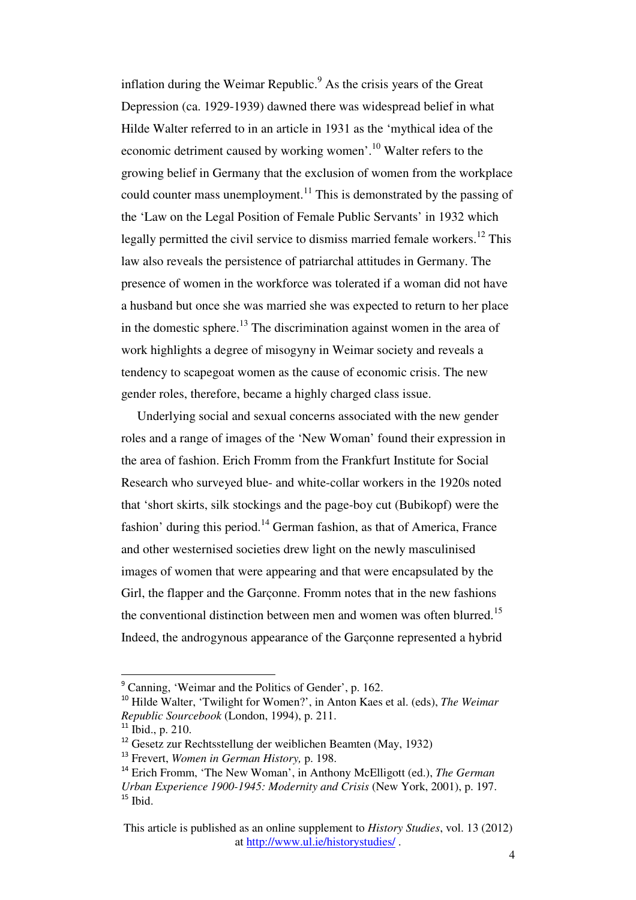inflation during the Weimar Republic.<sup>9</sup> As the crisis years of the Great Depression (ca. 1929-1939) dawned there was widespread belief in what Hilde Walter referred to in an article in 1931 as the 'mythical idea of the economic detriment caused by working women'.<sup>10</sup> Walter refers to the growing belief in Germany that the exclusion of women from the workplace could counter mass unemployment.<sup>11</sup> This is demonstrated by the passing of the 'Law on the Legal Position of Female Public Servants' in 1932 which legally permitted the civil service to dismiss married female workers.<sup>12</sup> This law also reveals the persistence of patriarchal attitudes in Germany. The presence of women in the workforce was tolerated if a woman did not have a husband but once she was married she was expected to return to her place in the domestic sphere.<sup>13</sup> The discrimination against women in the area of work highlights a degree of misogyny in Weimar society and reveals a tendency to scapegoat women as the cause of economic crisis. The new gender roles, therefore, became a highly charged class issue.

 Underlying social and sexual concerns associated with the new gender roles and a range of images of the 'New Woman' found their expression in the area of fashion. Erich Fromm from the Frankfurt Institute for Social Research who surveyed blue- and white-collar workers in the 1920s noted that 'short skirts, silk stockings and the page-boy cut (Bubikopf) were the fashion' during this period.<sup>14</sup> German fashion, as that of America, France and other westernised societies drew light on the newly masculinised images of women that were appearing and that were encapsulated by the Girl, the flapper and the Garconne. Fromm notes that in the new fashions the conventional distinction between men and women was often blurred.<sup>15</sup> Indeed, the androgynous appearance of the Garconne represented a hybrid

<sup>&</sup>lt;sup>9</sup> Canning, 'Weimar and the Politics of Gender', p. 162.

<sup>10</sup> Hilde Walter, 'Twilight for Women?', in Anton Kaes et al. (eds), *The Weimar Republic Sourcebook* (London, 1994), p. 211.

 $11$  Ibid., p. 210.

<sup>12</sup> Gesetz zur Rechtsstellung der weiblichen Beamten (May, 1932)

<sup>13</sup> Frevert, *Women in German History,* p. 198.

<sup>14</sup> Erich Fromm, 'The New Woman', in Anthony McElligott (ed.), *The German Urban Experience 1900-1945: Modernity and Crisis* (New York, 2001), p. 197.  $15$  Ibid.

This article is published as an online supplement to *History Studies*, vol. 13 (2012) at http://www.ul.ie/historystudies/ .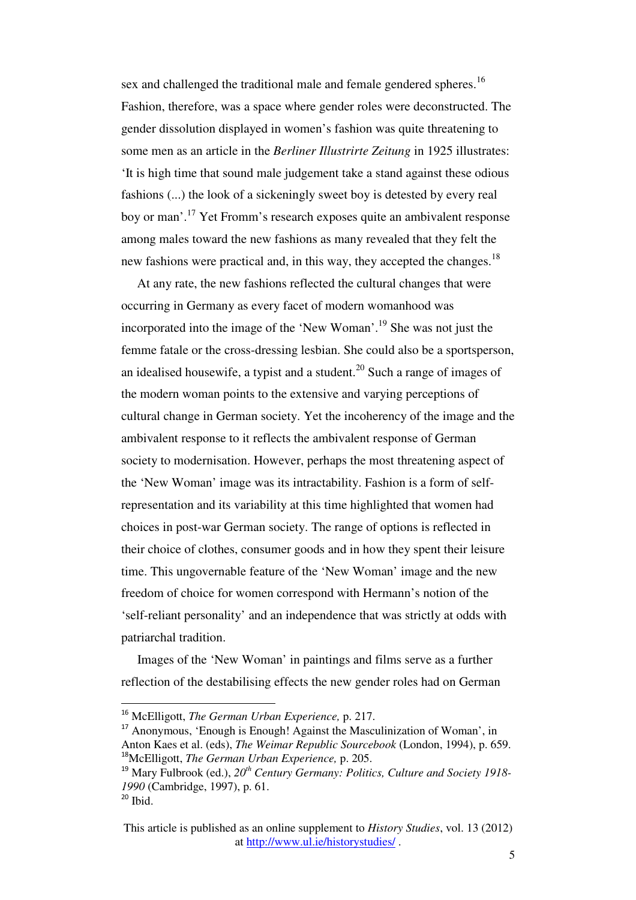sex and challenged the traditional male and female gendered spheres.<sup>16</sup> Fashion, therefore, was a space where gender roles were deconstructed. The gender dissolution displayed in women's fashion was quite threatening to some men as an article in the *Berliner Illustrirte Zeitung* in 1925 illustrates: 'It is high time that sound male judgement take a stand against these odious fashions (...) the look of a sickeningly sweet boy is detested by every real boy or man'.<sup>17</sup> Yet Fromm's research exposes quite an ambivalent response among males toward the new fashions as many revealed that they felt the new fashions were practical and, in this way, they accepted the changes.<sup>18</sup>

 At any rate, the new fashions reflected the cultural changes that were occurring in Germany as every facet of modern womanhood was incorporated into the image of the 'New Woman'.<sup>19</sup> She was not just the femme fatale or the cross-dressing lesbian. She could also be a sportsperson, an idealised housewife, a typist and a student.<sup>20</sup> Such a range of images of the modern woman points to the extensive and varying perceptions of cultural change in German society. Yet the incoherency of the image and the ambivalent response to it reflects the ambivalent response of German society to modernisation. However, perhaps the most threatening aspect of the 'New Woman' image was its intractability. Fashion is a form of selfrepresentation and its variability at this time highlighted that women had choices in post-war German society. The range of options is reflected in their choice of clothes, consumer goods and in how they spent their leisure time. This ungovernable feature of the 'New Woman' image and the new freedom of choice for women correspond with Hermann's notion of the 'self-reliant personality' and an independence that was strictly at odds with patriarchal tradition.

 Images of the 'New Woman' in paintings and films serve as a further reflection of the destabilising effects the new gender roles had on German

<sup>16</sup> McElligott, *The German Urban Experience,* p. 217.

<sup>&</sup>lt;sup>17</sup> Anonymous, 'Enough is Enough! Against the Masculinization of Woman', in Anton Kaes et al. (eds), *The Weimar Republic Sourcebook* (London, 1994), p. 659. <sup>18</sup>McElligott, *The German Urban Experience,* p. 205.

<sup>19</sup> Mary Fulbrook (ed.), *20th Century Germany: Politics, Culture and Society 1918- 1990* (Cambridge, 1997), p. 61.

 $20$  Ibid.

This article is published as an online supplement to *History Studies*, vol. 13 (2012) at http://www.ul.ie/historystudies/ .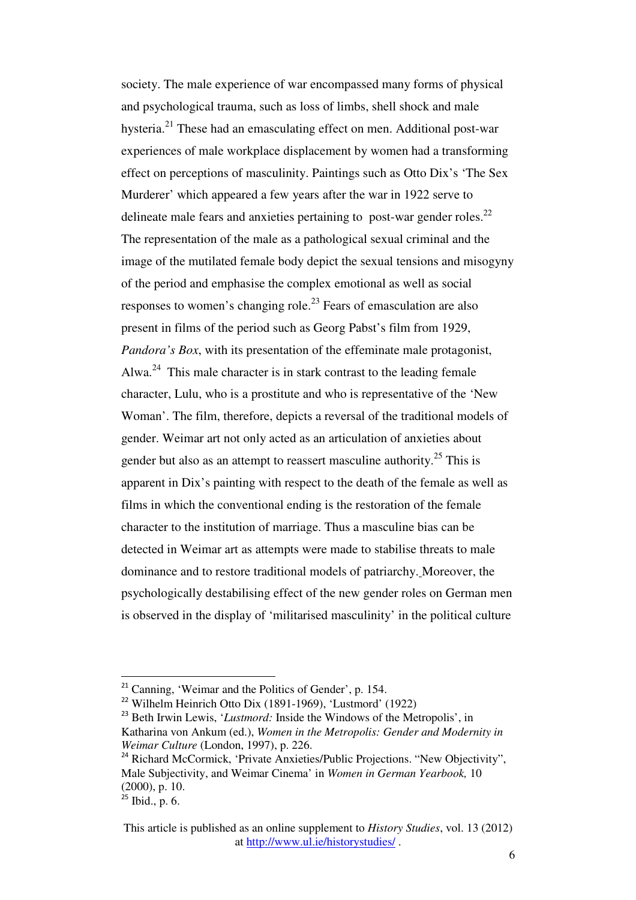society. The male experience of war encompassed many forms of physical and psychological trauma, such as loss of limbs, shell shock and male hysteria.<sup>21</sup> These had an emasculating effect on men. Additional post-war experiences of male workplace displacement by women had a transforming effect on perceptions of masculinity. Paintings such as Otto Dix's 'The Sex Murderer' which appeared a few years after the war in 1922 serve to delineate male fears and anxieties pertaining to post-war gender roles.<sup>22</sup> The representation of the male as a pathological sexual criminal and the image of the mutilated female body depict the sexual tensions and misogyny of the period and emphasise the complex emotional as well as social responses to women's changing role.<sup>23</sup> Fears of emasculation are also present in films of the period such as Georg Pabst's film from 1929, *Pandora's Box*, with its presentation of the effeminate male protagonist, Alwa.<sup>24</sup> This male character is in stark contrast to the leading female character, Lulu, who is a prostitute and who is representative of the 'New Woman'. The film, therefore, depicts a reversal of the traditional models of gender. Weimar art not only acted as an articulation of anxieties about gender but also as an attempt to reassert masculine authority.<sup>25</sup> This is apparent in Dix's painting with respect to the death of the female as well as films in which the conventional ending is the restoration of the female character to the institution of marriage. Thus a masculine bias can be detected in Weimar art as attempts were made to stabilise threats to male dominance and to restore traditional models of patriarchy. Moreover, the psychologically destabilising effect of the new gender roles on German men is observed in the display of 'militarised masculinity' in the political culture

 $21$  Canning, 'Weimar and the Politics of Gender', p. 154.

<sup>22</sup> Wilhelm Heinrich Otto Dix (1891-1969), 'Lustmord' (1922)

<sup>&</sup>lt;sup>23</sup> Beth Irwin Lewis, '*Lustmord*: Inside the Windows of the Metropolis', in Katharina von Ankum (ed.), *Women in the Metropolis: Gender and Modernity in Weimar Culture* (London, 1997), p. 226.

 $24$  Richard McCormick, 'Private Anxieties/Public Projections. "New Objectivity", Male Subjectivity, and Weimar Cinema' in *Women in German Yearbook,* 10 (2000), p. 10.

 $^{25}$  Ibid., p. 6.

This article is published as an online supplement to *History Studies*, vol. 13 (2012) at http://www.ul.ie/historystudies/ .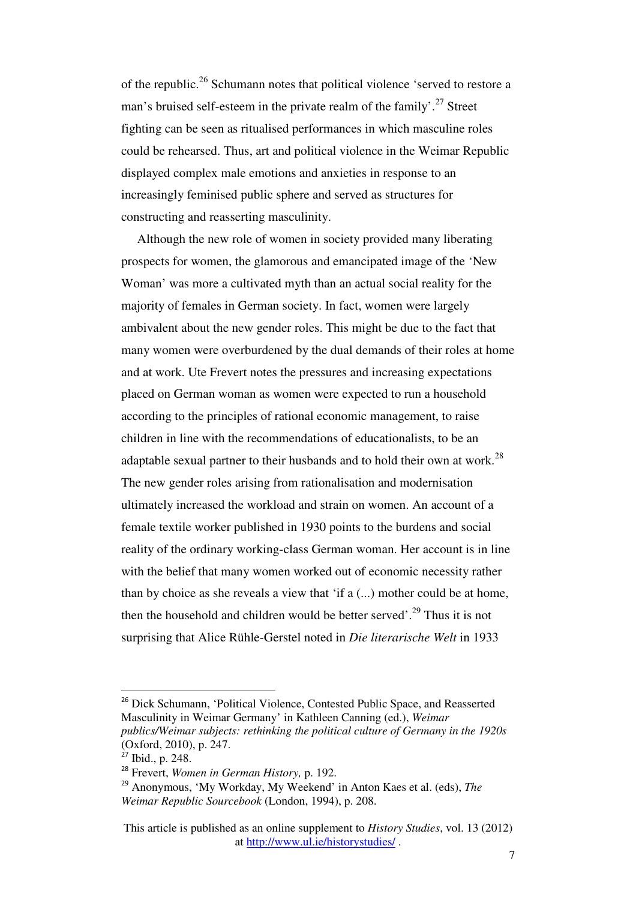of the republic.<sup>26</sup> Schumann notes that political violence 'served to restore a man's bruised self-esteem in the private realm of the family'.<sup>27</sup> Street fighting can be seen as ritualised performances in which masculine roles could be rehearsed. Thus, art and political violence in the Weimar Republic displayed complex male emotions and anxieties in response to an increasingly feminised public sphere and served as structures for constructing and reasserting masculinity.

 Although the new role of women in society provided many liberating prospects for women, the glamorous and emancipated image of the 'New Woman' was more a cultivated myth than an actual social reality for the majority of females in German society. In fact, women were largely ambivalent about the new gender roles. This might be due to the fact that many women were overburdened by the dual demands of their roles at home and at work. Ute Frevert notes the pressures and increasing expectations placed on German woman as women were expected to run a household according to the principles of rational economic management, to raise children in line with the recommendations of educationalists, to be an adaptable sexual partner to their husbands and to hold their own at work.<sup>28</sup> The new gender roles arising from rationalisation and modernisation ultimately increased the workload and strain on women. An account of a female textile worker published in 1930 points to the burdens and social reality of the ordinary working-class German woman. Her account is in line with the belief that many women worked out of economic necessity rather than by choice as she reveals a view that 'if a (...) mother could be at home, then the household and children would be better served'.<sup>29</sup> Thus it is not surprising that Alice Rühle-Gerstel noted in *Die literarische Welt* in 1933

<sup>&</sup>lt;sup>26</sup> Dick Schumann, 'Political Violence, Contested Public Space, and Reasserted Masculinity in Weimar Germany' in Kathleen Canning (ed.), *Weimar publics/Weimar subjects: rethinking the political culture of Germany in the 1920s* 

<sup>(</sup>Oxford, 2010), p. 247.  $27$  Ibid., p. 248.

<sup>28</sup> Frevert, *Women in German History,* p. 192.

<sup>29</sup> Anonymous, 'My Workday, My Weekend' in Anton Kaes et al. (eds), *The Weimar Republic Sourcebook* (London, 1994), p. 208.

This article is published as an online supplement to *History Studies*, vol. 13 (2012) at http://www.ul.ie/historystudies/ .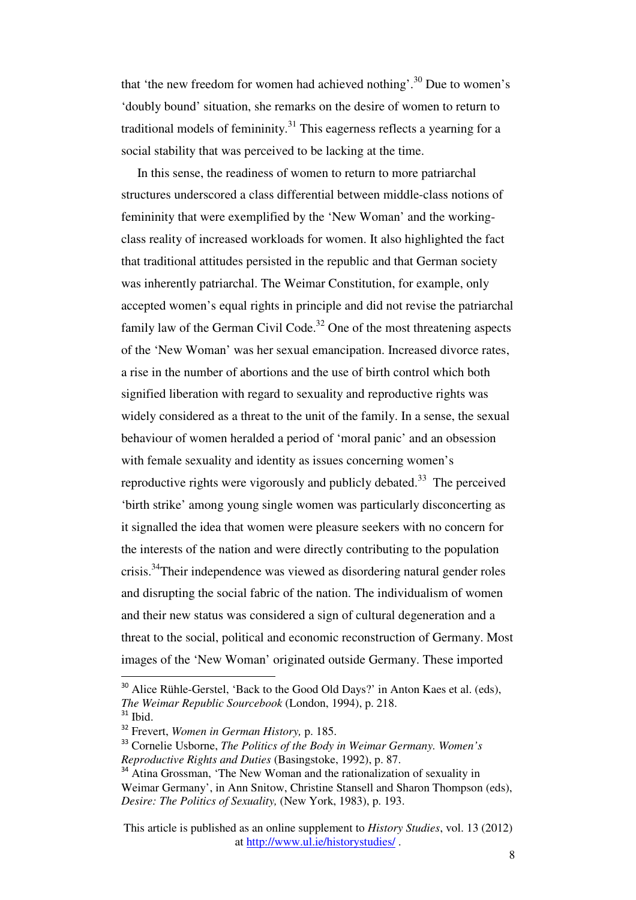that 'the new freedom for women had achieved nothing'.<sup>30</sup> Due to women's 'doubly bound' situation, she remarks on the desire of women to return to traditional models of femininity.<sup>31</sup> This eagerness reflects a yearning for a social stability that was perceived to be lacking at the time.

 In this sense, the readiness of women to return to more patriarchal structures underscored a class differential between middle-class notions of femininity that were exemplified by the 'New Woman' and the workingclass reality of increased workloads for women. It also highlighted the fact that traditional attitudes persisted in the republic and that German society was inherently patriarchal. The Weimar Constitution, for example, only accepted women's equal rights in principle and did not revise the patriarchal family law of the German Civil Code.<sup>32</sup> One of the most threatening aspects of the 'New Woman' was her sexual emancipation. Increased divorce rates, a rise in the number of abortions and the use of birth control which both signified liberation with regard to sexuality and reproductive rights was widely considered as a threat to the unit of the family. In a sense, the sexual behaviour of women heralded a period of 'moral panic' and an obsession with female sexuality and identity as issues concerning women's reproductive rights were vigorously and publicly debated.<sup>33</sup> The perceived 'birth strike' among young single women was particularly disconcerting as it signalled the idea that women were pleasure seekers with no concern for the interests of the nation and were directly contributing to the population crisis.<sup>34</sup>Their independence was viewed as disordering natural gender roles and disrupting the social fabric of the nation. The individualism of women and their new status was considered a sign of cultural degeneration and a threat to the social, political and economic reconstruction of Germany. Most images of the 'New Woman' originated outside Germany. These imported

<sup>&</sup>lt;sup>30</sup> Alice Rühle-Gerstel, 'Back to the Good Old Days?' in Anton Kaes et al. (eds), *The Weimar Republic Sourcebook* (London, 1994), p. 218.  $31$  Ibid.

<sup>32</sup> Frevert, *Women in German History,* p. 185.

<sup>33</sup> Cornelie Usborne, *The Politics of the Body in Weimar Germany. Women's Reproductive Rights and Duties* (Basingstoke, 1992), p. 87.

<sup>&</sup>lt;sup>34</sup> Atina Grossman, 'The New Woman and the rationalization of sexuality in Weimar Germany', in Ann Snitow, Christine Stansell and Sharon Thompson (eds), *Desire: The Politics of Sexuality,* (New York, 1983), p. 193.

This article is published as an online supplement to *History Studies*, vol. 13 (2012) at http://www.ul.ie/historystudies/ .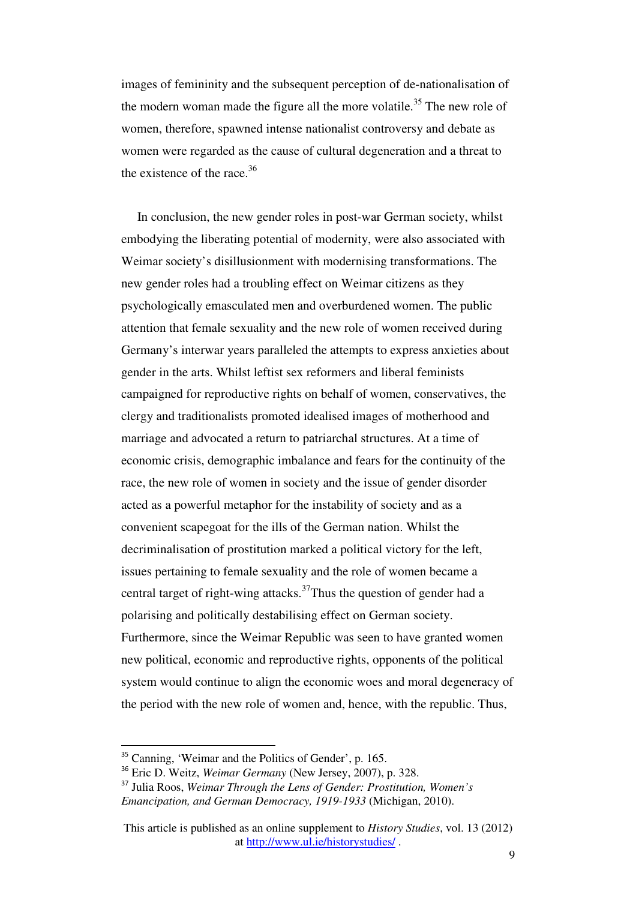images of femininity and the subsequent perception of de-nationalisation of the modern woman made the figure all the more volatile.<sup>35</sup> The new role of women, therefore, spawned intense nationalist controversy and debate as women were regarded as the cause of cultural degeneration and a threat to the existence of the race. $36$ 

 In conclusion, the new gender roles in post-war German society, whilst embodying the liberating potential of modernity, were also associated with Weimar society's disillusionment with modernising transformations. The new gender roles had a troubling effect on Weimar citizens as they psychologically emasculated men and overburdened women. The public attention that female sexuality and the new role of women received during Germany's interwar years paralleled the attempts to express anxieties about gender in the arts. Whilst leftist sex reformers and liberal feminists campaigned for reproductive rights on behalf of women, conservatives, the clergy and traditionalists promoted idealised images of motherhood and marriage and advocated a return to patriarchal structures. At a time of economic crisis, demographic imbalance and fears for the continuity of the race, the new role of women in society and the issue of gender disorder acted as a powerful metaphor for the instability of society and as a convenient scapegoat for the ills of the German nation. Whilst the decriminalisation of prostitution marked a political victory for the left, issues pertaining to female sexuality and the role of women became a central target of right-wing attacks.<sup>37</sup>Thus the question of gender had a polarising and politically destabilising effect on German society. Furthermore, since the Weimar Republic was seen to have granted women new political, economic and reproductive rights, opponents of the political system would continue to align the economic woes and moral degeneracy of the period with the new role of women and, hence, with the republic. Thus,

<sup>&</sup>lt;sup>35</sup> Canning, 'Weimar and the Politics of Gender', p. 165.

<sup>36</sup> Eric D. Weitz, *Weimar Germany* (New Jersey, 2007), p. 328.

<sup>37</sup> Julia Roos, *Weimar Through the Lens of Gender: Prostitution, Women's Emancipation, and German Democracy, 1919-1933* (Michigan, 2010).

This article is published as an online supplement to *History Studies*, vol. 13 (2012) at http://www.ul.ie/historystudies/ .